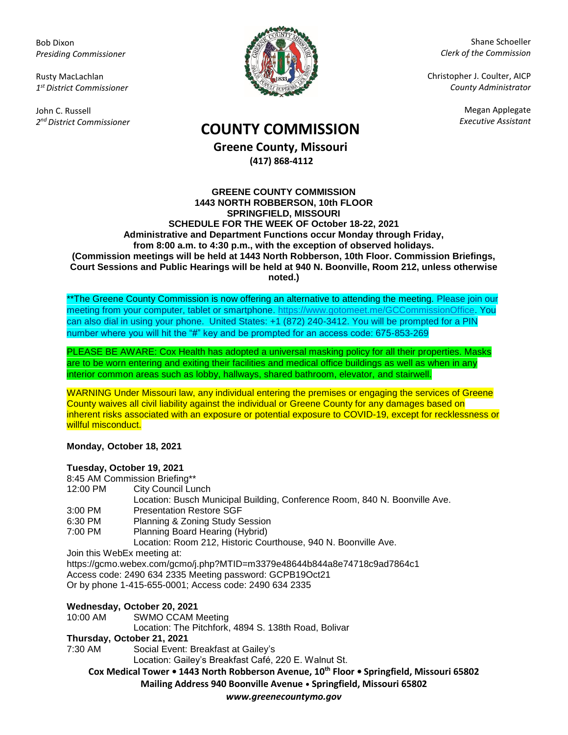Bob Dixon *Presiding Commissioner*

Rusty MacLachlan *1 st District Commissioner*

John C. Russell *2 nd District Commissioner*



Shane Schoeller *Clerk of the Commission*

Christopher J. Coulter, AICP *County Administrator*

Megan Applegate

## *Executive Assistant* **COUNTY COMMISSION**

**Greene County, Missouri (417) 868-4112**

## **GREENE COUNTY COMMISSION 1443 NORTH ROBBERSON, 10th FLOOR SPRINGFIELD, MISSOURI SCHEDULE FOR THE WEEK OF October 18-22, 2021 Administrative and Department Functions occur Monday through Friday, from 8:00 a.m. to 4:30 p.m., with the exception of observed holidays. (Commission meetings will be held at 1443 North Robberson, 10th Floor. Commission Briefings, Court Sessions and Public Hearings will be held at 940 N. Boonville, Room 212, unless otherwise noted.)**

\*\*The Greene County Commission is now offering an alternative to attending the meeting. Please join our meeting from your computer, tablet or smartphone. [https://www.gotomeet.me/GCCommissionOffice.](https://www.gotomeet.me/GCCommissionOffice) You can also dial in using your phone. United States: +1 (872) 240-3412. You will be prompted for a PIN number where you will hit the "#" key and be prompted for an access code: 675-853-269

PLEASE BE AWARE: Cox Health has adopted a universal masking policy for all their properties. Masks are to be worn entering and exiting their facilities and medical office buildings as well as when in any interior common areas such as lobby, hallways, shared bathroom, elevator, and stairwell.

WARNING Under Missouri law, any individual entering the premises or engaging the services of Greene County waives all civil liability against the individual or Greene County for any damages based on inherent risks associated with an exposure or potential exposure to COVID-19, except for recklessness or willful misconduct.

**Monday, October 18, 2021**

## **Tuesday, October 19, 2021**

|           | 8:45 AM Commission Briefing**                                              |
|-----------|----------------------------------------------------------------------------|
| 12:00 PM  | City Council Lunch                                                         |
|           | Location: Busch Municipal Building, Conference Room, 840 N. Boonville Ave. |
| $3:00$ PM | <b>Presentation Restore SGF</b>                                            |
| 6:30 PM   | Planning & Zoning Study Session                                            |
| 7:00 PM   | Planning Board Hearing (Hybrid)                                            |
|           | Location: Room 212, Historic Courthouse, 940 N. Boonville Ave.             |
|           | Join this WebEx meeting at:                                                |
|           | https://gcmo.webex.com/gcmo/j.php?MTID=m3379e48644b844a8e74718c9ad7864c1   |
|           | Access code: 2490 634 2335 Meeting password: GCPB19Oct21                   |
|           | Or by phone 1-415-655-0001; Access code: 2490 634 2335                     |
|           | $M_{\odot}$ desada: Ostabar 30.3034                                        |

**Wednesday, October 20, 2021** 10:00 AM SWMO CCAM Meeting Location: The Pitchfork, 4894 S. 138th Road, Bolivar **Thursday, October 21, 2021** 7:30 AM Social Event: Breakfast at Gailey's

Location: Gailey's Breakfast Café, 220 E. Walnut St.

**Cox Medical Tower • 1443 North Robberson Avenue, 10th Floor • Springfield, Missouri 65802 Mailing Address 940 Boonville Avenue • Springfield, Missouri 65802**

*www.greenecountymo.gov*